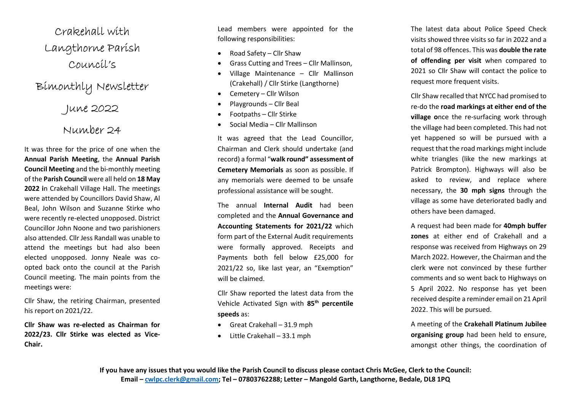Crakehall with Langthorne Parish Council's

## Bimonthly Newsletter

June 2022

## Number 24

It was three for the price of one when the Annual Parish Meeting, the Annual Parish Council Meeting and the bi-monthly meeting of the Parish Council were all held on 18 May 2022 in Crakehall Village Hall. The meetings were attended by Councillors David Shaw, Al Beal, John Wilson and Suzanne Stirke who were recently re-elected unopposed. District Councillor John Noone and two parishioners also attended. Cllr Jess Randall was unable to attend the meetings but had also been elected unopposed. Jonny Neale was coopted back onto the council at the Parish Council meeting. The main points from the meetings were:

Cllr Shaw, the retiring Chairman, presented his report on 2021/22.

Cllr Shaw was re-elected as Chairman for 2022/23. Cllr Stirke was elected as Vice-Chair.

Lead members were appointed for the following responsibilities:

- Road Safety Cllr Shaw
- Grass Cutting and Trees Cllr Mallinson,
- Village Maintenance Cllr Mallinson (Crakehall) / Cllr Stirke (Langthorne)
- Cemetery Cllr Wilson
- Playgrounds Cllr Beal
- Footpaths Cllr Stirke
- Social Media Cllr Mallinson

It was agreed that the Lead Councillor, Chairman and Clerk should undertake (and record) a formal "walk round" assessment of Cemetery Memorials as soon as possible. If any memorials were deemed to be unsafe professional assistance will be sought.

The annual Internal Audit had been completed and the Annual Governance and Accounting Statements for 2021/22 which form part of the External Audit requirements were formally approved. Receipts and Payments both fell below £25,000 for 2021/22 so, like last year, an "Exemption" will be claimed.

Cllr Shaw reported the latest data from the Vehicle Activated Sign with 85<sup>th</sup> percentile speeds as:

- Great Crakehall 31.9 mph
- Little Crakehall 33.1 mph

The latest data about Police Speed Check visits showed three visits so far in 2022 and a total of 98 offences. This was double the rate of offending per visit when compared to 2021 so Cllr Shaw will contact the police to request more frequent visits.

Cllr Shaw recalled that NYCC had promised to re-do the road markings at either end of the village once the re-surfacing work through the village had been completed. This had not yet happened so will be pursued with a request that the road markings might include white triangles (like the new markings at Patrick Brompton). Highways will also be asked to review, and replace where necessary, the 30 mph signs through the village as some have deteriorated badly and others have been damaged.

A request had been made for 40mph buffer zones at either end of Crakehall and a response was received from Highways on 29 March 2022. However, the Chairman and the clerk were not convinced by these further comments and so went back to Highways on 5 April 2022. No response has yet been received despite a reminder email on 21 April 2022. This will be pursued.

A meeting of the Crakehall Platinum Jubilee organising group had been held to ensure, amongst other things, the coordination of

If you have any issues that you would like the Parish Council to discuss please contact Chris McGee, Clerk to the Council: Email – cwlpc.clerk@gmail.com; Tel – 07803762288; Letter – Mangold Garth, Langthorne, Bedale, DL8 1PQ